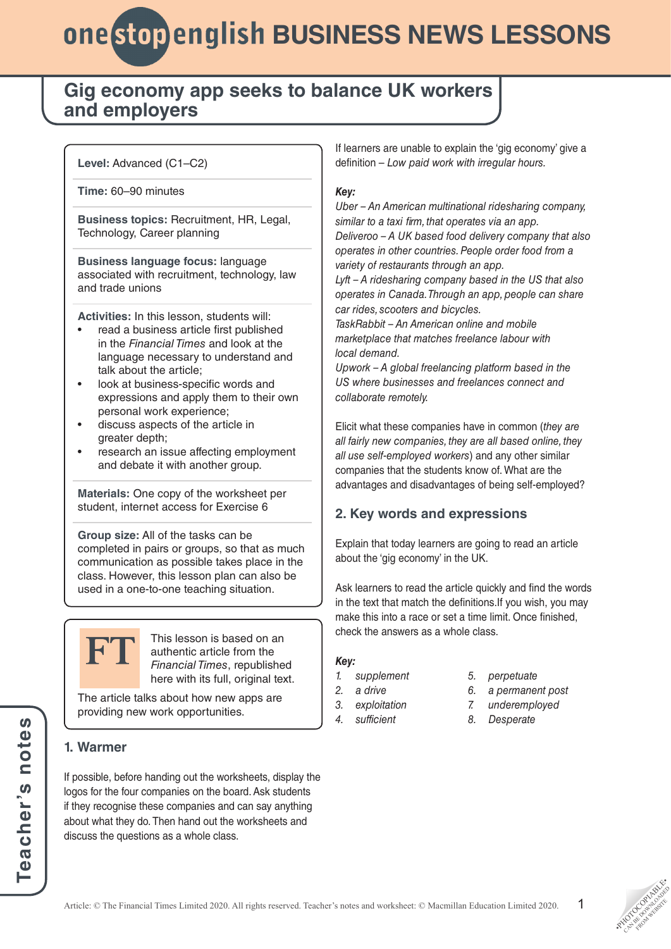## **Gig economy app seeks to balance UK workers and employers**

### **Level:** Advanced (C1–C2)

**Time:** 60–90 minutes

**Business topics:** Recruitment, HR, Legal, Technology, Career planning

**Business language focus:** language associated with recruitment, technology, law and trade unions

**Activities:** In this lesson, students will:

- read a business article first published in the *Financial Times* and look at the language necessary to understand and talk about the article;
- look at business-specific words and expressions and apply them to their own personal work experience;
- discuss aspects of the article in greater depth;
- research an issue affecting employment and debate it with another group.

**Materials:** One copy of the worksheet per student, internet access for Exercise 6

**Group size:** All of the tasks can be completed in pairs or groups, so that as much communication as possible takes place in the class. However, this lesson plan can also be used in a one-to-one teaching situation.



This lesson is based on an authentic article from the *Financial Times*, republished here with its full, original text.

The article talks about how new apps are providing new work opportunities.

### **1. Warmer**

If possible, before handing out the worksheets, display the logos for the four companies on the board. Ask students if they recognise these companies and can say anything about what they do. Then hand out the worksheets and discuss the questions as a whole class.

If learners are unable to explain the 'gig economy' give a definition – *Low paid work with irregular hours.*

### *Key:*

*Uber – An American multinational ridesharing company, similar to a taxi firm, that operates via an app. Deliveroo – A UK based food delivery company that also operates in other countries. People order food from a* 

*variety of restaurants through an app.*

*Lyft – A ridesharing company based in the US that also operates in Canada. Through an app, people can share car rides, scooters and bicycles.*

*TaskRabbit – An American online and mobile marketplace that matches freelance labour with local demand.*

*Upwork – A global freelancing platform based in the US where businesses and freelances connect and collaborate remotely.*

Elicit what these companies have in common (*they are all fairly new companies, they are all based online, they all use self-employed workers*) and any other similar companies that the students know of. What are the advantages and disadvantages of being self-employed?

### **2. Key words and expressions**

Explain that today learners are going to read an article about the 'gig economy' in the UK.

Ask learners to read the article quickly and find the words in the text that match the definitions.If you wish, you may make this into a race or set a time limit. Once finished, check the answers as a whole class.

### *Key:*

- *1. supplement*
- *2. a drive*
- *3. exploitation*
- *4. sufficient*
- *5. perpetuate*
- *6. a permanent post*
- *7. underemployed*
- *8. Desperate*

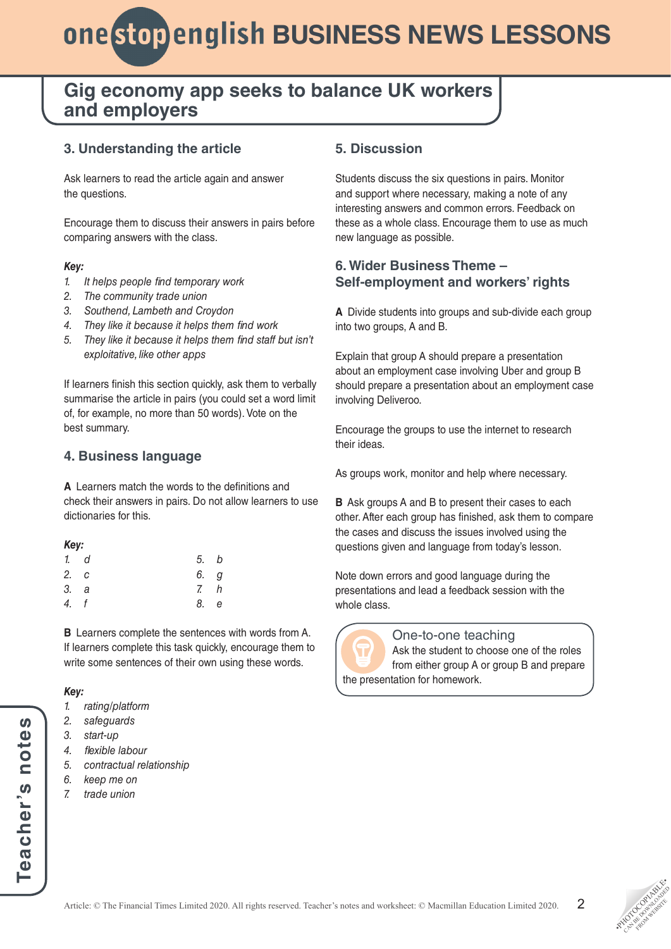## **Gig economy app seeks to balance UK workers and employers**

### **3. Understanding the article**

Ask learners to read the article again and answer the questions.

Encourage them to discuss their answers in pairs before comparing answers with the class.

#### *Key:*

- *1. It helps people find temporary work*
- *2. The community trade union*
- *3. Southend, Lambeth and Croydon*
- *4. They like it because it helps them find work*
- *5. They like it because it helps them find staff but isn't exploitative, like other apps*

If learners finish this section quickly, ask them to verbally summarise the article in pairs (you could set a word limit of, for example, no more than 50 words). Vote on the best summary.

### **4. Business language**

**A** Learners match the words to the definitions and check their answers in pairs. Do not allow learners to use dictionaries for this.

| Key: |            |                |   |  |  |
|------|------------|----------------|---|--|--|
|      | 1. d       | 5.             | b |  |  |
| 2. с |            | 6.             | g |  |  |
| 3. а |            | $\overline{z}$ | h |  |  |
| 4.   | $\sqrt{f}$ | 8.             | e |  |  |
|      |            |                |   |  |  |

**B** Learners complete the sentences with words from A. If learners complete this task quickly, encourage them to write some sentences of their own using these words.

### *Key:*

*1. rating/platform*

- *2. safeguards*
- *3. start-up*
- *4. flexible labour*
- *5. contractual relationship*
- *6. keep me on*
- *7. trade union*

### **5. Discussion**

Students discuss the six questions in pairs. Monitor and support where necessary, making a note of any interesting answers and common errors. Feedback on these as a whole class. Encourage them to use as much new language as possible.

### **6. Wider Business Theme – Self-employment and workers' rights**

**A** Divide students into groups and sub-divide each group into two groups, A and B.

Explain that group A should prepare a presentation about an employment case involving Uber and group B should prepare a presentation about an employment case involving Deliveroo.

Encourage the groups to use the internet to research their ideas.

As groups work, monitor and help where necessary.

**B** Ask groups A and B to present their cases to each other. After each group has finished, ask them to compare the cases and discuss the issues involved using the questions given and language from today's lesson.

Note down errors and good language during the presentations and lead a feedback session with the whole class.



### One-to-one teaching

Ask the student to choose one of the roles from either group A or group B and prepare the presentation for homework.

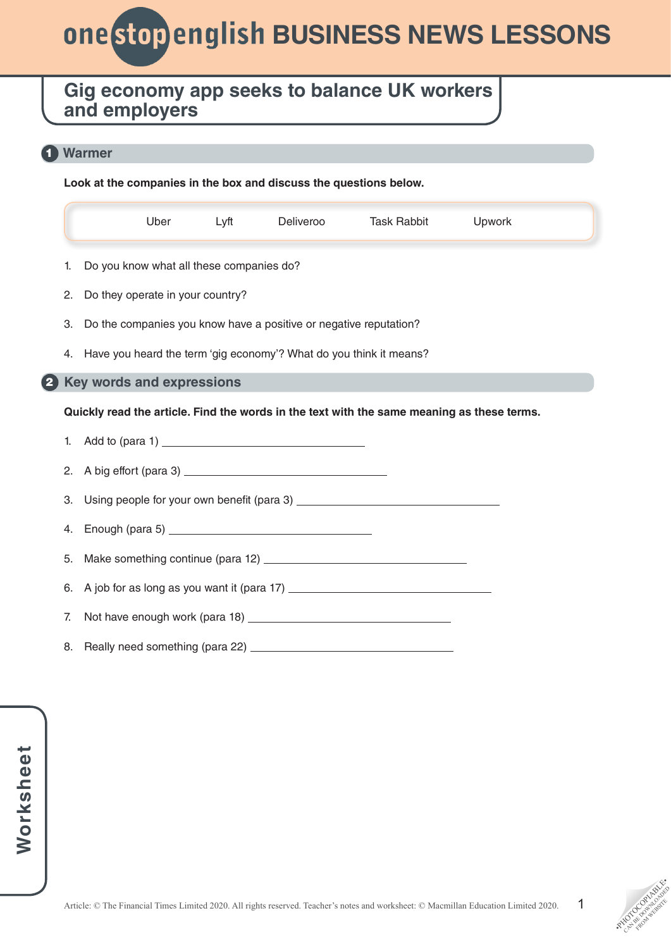# *Business NEWS LESSONS*

## **Gig economy app seeks to balance UK workers and employers**

### **Warmer** 1

**Look at the companies in the box and discuss the questions below.**

|                                                                                            | Uber                                                               | Lyft | Deliveroo | <b>Task Rabbit</b> | Upwork |  |
|--------------------------------------------------------------------------------------------|--------------------------------------------------------------------|------|-----------|--------------------|--------|--|
| 1.                                                                                         | Do you know what all these companies do?                           |      |           |                    |        |  |
| 2.                                                                                         | Do they operate in your country?                                   |      |           |                    |        |  |
| 3.                                                                                         | Do the companies you know have a positive or negative reputation?  |      |           |                    |        |  |
| 4.                                                                                         | Have you heard the term 'gig economy'? What do you think it means? |      |           |                    |        |  |
|                                                                                            | <b>Key words and expressions</b>                                   |      |           |                    |        |  |
| Quickly read the article. Find the words in the text with the same meaning as these terms. |                                                                    |      |           |                    |        |  |
|                                                                                            |                                                                    |      |           |                    |        |  |
| 1.                                                                                         |                                                                    |      |           |                    |        |  |
| 2.                                                                                         |                                                                    |      |           |                    |        |  |
| 3.                                                                                         |                                                                    |      |           |                    |        |  |
| 4.                                                                                         |                                                                    |      |           |                    |        |  |
| 5.                                                                                         |                                                                    |      |           |                    |        |  |
| 6.                                                                                         |                                                                    |      |           |                    |        |  |
| 7.                                                                                         |                                                                    |      |           |                    |        |  |

1

**PHOTOGRAPHICATE** CAN BE DOWNLOAD FROM WEBSITE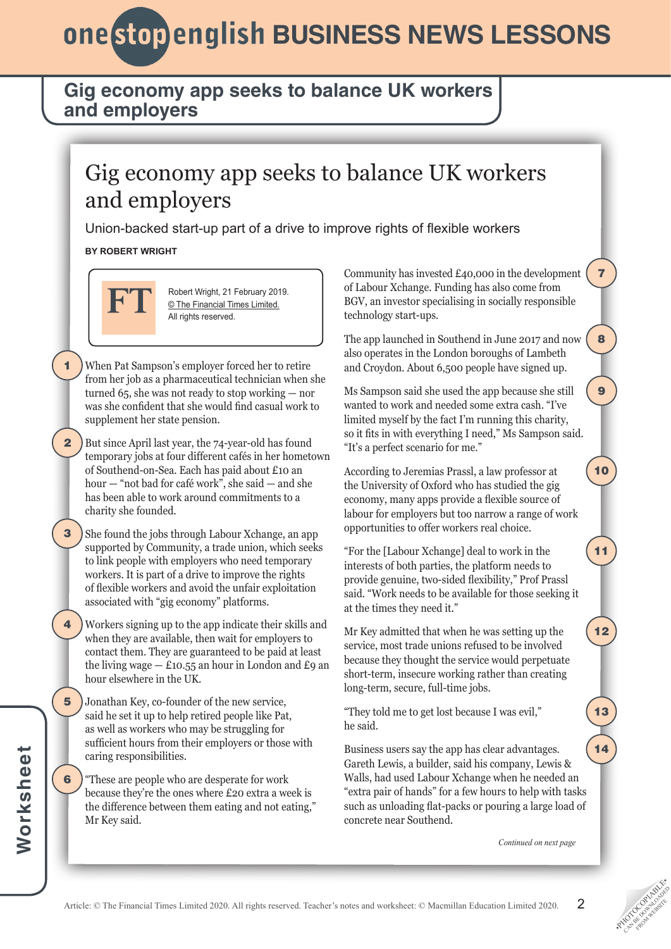## **Gig economy app seeks to balance UK workers and employers**

# Gig economy app seeks to balance UK workers and employers

Union-backed start-up part of a drive to improve rights of flexible workers

### **BY ROBERT WRIGHT**



1

2

3

Robert Wright, 21 February 2019. © The Financial Times Limited. All rights reserved.

- When Pat Sampson's employer forced her to retire from her job as a pharmaceutical technician when she turned 65, she was not ready to stop working — nor was she confident that she would find casual work to supplement her state pension.
- But since April last year, the 74-year-old has found temporary jobs at four different cafés in her hometown of Southend-on-Sea. Each has paid about £10 an hour — "not bad for café work", she said — and she has been able to work around commitments to a charity she founded.
- She found the jobs through Labour Xchange, an app supported by Community, a trade union, which seeks to link people with employers who need temporary workers. It is part of a drive to improve the rights of flexible workers and avoid the unfair exploitation associated with "gig economy" platforms.
- Workers signing up to the app indicate their skills and when they are available, then wait for employers to contact them. They are guaranteed to be paid at least the living wage  $-$  £10.55 an hour in London and £9 an hour elsewhere in the UK. 4
- Jonathan Key, co-founder of the new service, said he set it up to help retired people like Pat, as well as workers who may be struggling for sufficient hours from their employers or those with caring responsibilities. 5
- "These are people who are desperate for work because they're the ones where £20 extra a week is the difference between them eating and not eating," Mr Key said. 6

Community has invested £40,000 in the development of Labour Xchange. Funding has also come from BGV, an investor specialising in socially responsible technology start-ups.

7

8

9

10

11

12

13

14

The app launched in Southend in June 2017 and now also operates in the London boroughs of Lambeth and Croydon. About 6,500 people have signed up.

Ms Sampson said she used the app because she still wanted to work and needed some extra cash. "I've limited myself by the fact I'm running this charity, so it fits in with everything I need," Ms Sampson said. "It's a perfect scenario for me."

According to Jeremias Prassl, a law professor at the University of Oxford who has studied the gig economy, many apps provide a flexible source of labour for employers but too narrow a range of work opportunities to offer workers real choice.

"For the [Labour Xchange] deal to work in the interests of both parties, the platform needs to provide genuine, two-sided flexibility," Prof Prassl said. "Work needs to be available for those seeking it at the times they need it."

Mr Key admitted that when he was setting up the service, most trade unions refused to be involved because they thought the service would perpetuate short-term, insecure working rather than creating long-term, secure, full-time jobs.

"They told me to get lost because I was evil," he said.

Business users say the app has clear advantages. Gareth Lewis, a builder, said his company, Lewis & Walls, had used Labour Xchange when he needed an "extra pair of hands" for a few hours to help with tasks such as unloading flat-packs or pouring a large load of concrete near Southend.

*Continued on next page*

2

**PHOTOGRAPHICATE** CAN BE DOWNLOAD FROM WEBSITE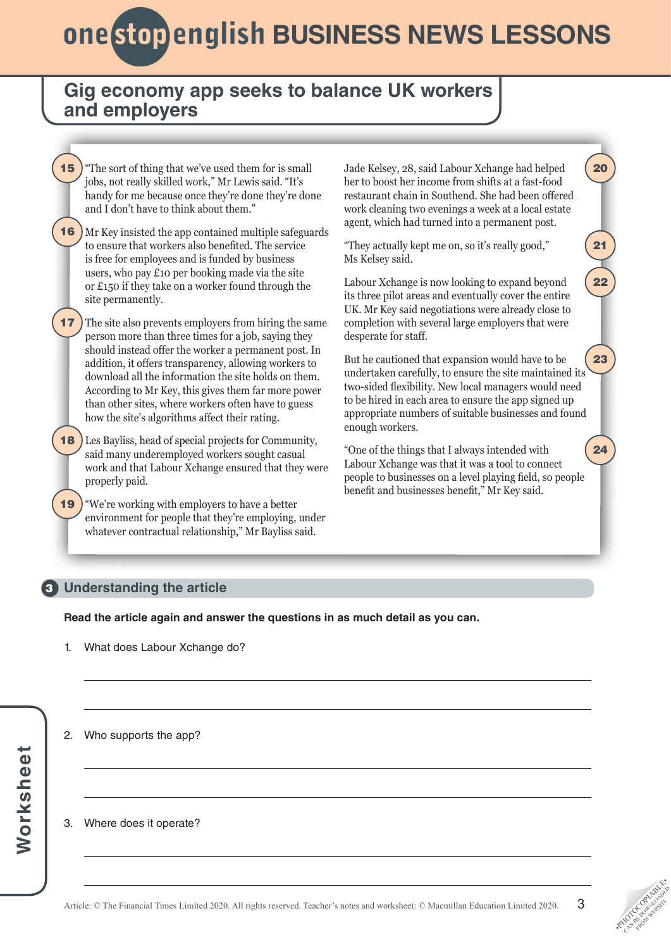## **Gig economy app seeks to balance UK workers and employers**



### **Understanding the article** 3

**Read the article again and answer the questions in as much detail as you can.**

- 1. What does Labour Xchange do?
- 2. Who supports the app?

### 3. Where does it operate?

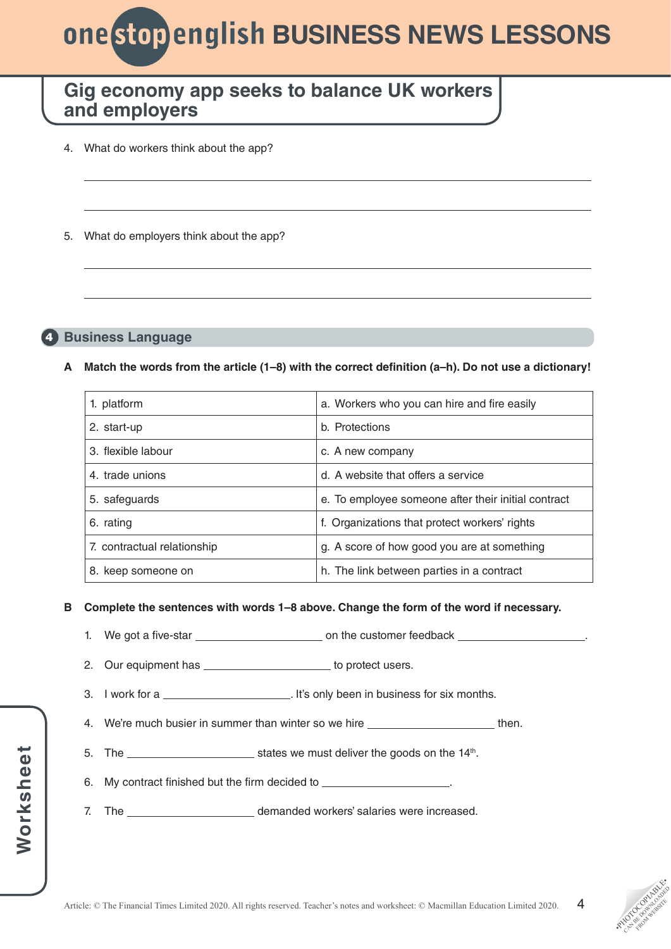# **ONE Stop english BUSINESS NEWS LESSONS**

## **Gig economy app seeks to balance UK workers and employers**

- 4. What do workers think about the app?
- 5. What do employers think about the app?

### **Business Language** 4

### **A Match the words from the article (1–8) with the correct definition (a–h). Do not use a dictionary!**

| 1. platform                 | a. Workers who you can hire and fire easily         |  |
|-----------------------------|-----------------------------------------------------|--|
| 2. start-up                 | b. Protections                                      |  |
| 3. flexible labour          | c. A new company                                    |  |
| 4. trade unions             | d. A website that offers a service                  |  |
| 5. safeguards               | e. To employee someone after their initial contract |  |
| 6. rating                   | f. Organizations that protect workers' rights       |  |
| 7. contractual relationship | g. A score of how good you are at something         |  |
| 8. keep someone on          | h. The link between parties in a contract           |  |

### **B Complete the sentences with words 1–8 above. Change the form of the word if necessary.**

- 1. We got a five-star **but a start on the customer feedback**
- 2. Our equipment has \_\_\_\_\_\_\_\_\_\_\_\_\_\_\_\_\_\_\_\_\_\_ to protect users.
- 3. I work for a . It's only been in business for six months.
- 4. We're much busier in summer than winter so we hire **the contact than** then.
- 5. The  $\frac{1}{4}$  states we must deliver the goods on the 14<sup>th</sup>.
- 6. My contract finished but the firm decided to .
- 7. The **construction of the demanded workers' salaries were increased.**